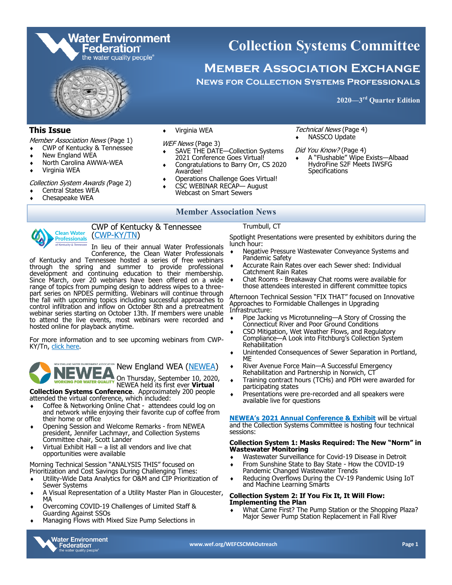

### **This Issue**

Member Association News (Page 1)

- CWP of Kentucky & Tennessee
- New England WEA
- North Carolina AWWA-WEA
- Virginia WEA

Collection System Awards (Page 2)

- Central States WEA
- Chesapeake WEA

 CSC WEBINAR RECAP— August Webcast on Smart Sewers

 Virginia WEA WEF News (Page 3)

Awardee!

### **Member Association News**

Operations Challenge Goes Virtual!

 SAVE THE DATE—Collection Systems 2021 Conference Goes Virtual! Congratulations to Barry Orr, CS 2020



CWP of Kentucky & Tennessee (CWP-[KY/TN\)](https://www.cleanwaterprofessionals.org/)

In lieu of their annual Water Professionals Conference, the Clean Water Professionals

of Kentucky and Tennessee hosted a series of free webinars through the spring and summer to provide professional development and continuing education to their membership. Since March, over 20 webinars have been offered on a wide range of topics from pumping design to address wipes to a threepart series on NPDES permitting. Webinars will continue through the fall with upcoming topics including successful approaches to control infiltration and inflow on October 8th and a pretreatment webinar series starting on October 13th. If members were unable to attend the live events, most webinars were recorded and hosted online for playback anytime.

For more information and to see upcoming webinars from CWP-KY/Tn, [click here.](https://www.memberleap.com/members/calendar5.php?org_id=KYTN)

SOCIATION New England WEA ([NEWEA\)](https://www.newea.org/) On Thursday, September 10, 2020,

NEWEA held its first ever **Virtual** 

**Collection Systems Conference**. Approximately 200 people attended the virtual conference, which included:

- Coffee & Networking Online Chat attendees could log on and network while enjoying their favorite cup of coffee from their home or office
- Opening Session and Welcome Remarks from NEWEA president, Jennifer Lachmayr, and Collection Systems Committee chair, Scott Lander
- Virtual Exhibit Hall a list all vendors and live chat opportunities were available

Morning Technical Session "ANALYSIS THIS" focused on Prioritization and Cost Savings During Challenging Times:

- Utility-Wide Data Analytics for O&M and CIP Prioritization of Sewer Systems
- A Visual Representation of a Utility Master Plan in Gloucester, MA
- Overcoming COVID-19 Challenges of Limited Staff & Guarding Against SSOs
- Managing Flows with Mixed Size Pump Selections in



Trumbull, CT

Spotlight Presentations were presented by exhibitors during the lunch hour:

Technical News (Page 4) NASSCO Update Did You Know? (Page 4)

**Specifications** 

 A "Flushable" Wipe Exists—Albaad HydroFine S2F Meets IWSFG

- Negative Pressure Wastewater Conveyance Systems and Pandemic Safety
- Accurate Rain Rates over each Sewer shed: Individual Catchment Rain Rates
- Chat Rooms Breakaway Chat rooms were available for those attendees interested in different committee topics

Afternoon Technical Session "FIX THAT" focused on Innovative Approaches to Formidable Challenges in Upgrading Infrastructure:

- Pipe Jacking vs Microtunneling—A Story of Crossing the Connecticut River and Poor Ground Conditions
- CSO Mitigation, Wet Weather Flows, and Regulatory Compliance—A Look into Fitchburg's Collection System Rehabilitation
- Unintended Consequences of Sewer Separation in Portland, ME
- River Avenue Force Main—A Successful Emergency Rehabilitation and Partnership in Norwich, CT
- Training contract hours (TCHs) and PDH were awarded for participating states
- Presentations were pre-recorded and all speakers were available live for questions

**NEWEA'[s 2021 Annual Conference & Exhibit](https://annualconference.newea.org/)** will be virtual and the Collection Systems Committee is hosting four technical sessions:

### **Collection System 1: Masks Required: The New "Norm" in Wastewater Monitoring**

- Wastewater Surveillance for Covid-19 Disease in Detroit
- From Sunshine State to Bay State How the COVID-19 Pandemic Changed Wastewater Trends
- Reducing Overflows During the CV-19 Pandemic Using IoT and Machine Learning Smarts

### **Collection System 2: If You Fix It, It Will Flow: Implementing the Plan**

 What Came First? The Pump Station or the Shopping Plaza? Major Sewer Pump Station Replacement in Fall River

**www.wef.org/WEFCSCMAOutreach Page 1**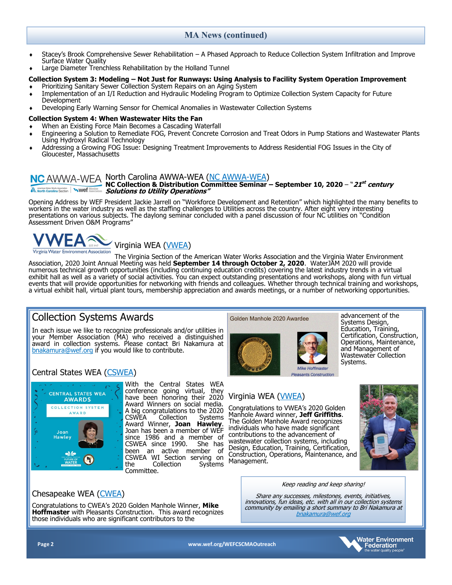### **MA News (continued)**

- Stacey's Brook Comprehensive Sewer Rehabilitation A Phased Approach to Reduce Collection System Infiltration and Improve Surface Water Quality
- Large Diameter Trenchless Rehabilitation by the Holland Tunnel

### **Collection System 3: Modeling – Not Just for Runways: Using Analysis to Facility System Operation Improvement**

- Prioritizing Sanitary Sewer Collection System Repairs on an Aging System
- Implementation of an I/I Reduction and Hydraulic Modeling Program to Optimize Collection System Capacity for Future
- Development
- Developing Early Warning Sensor for Chemical Anomalies in Wastewater Collection Systems

### **Collection System 4: When Wastewater Hits the Fan**

- When an Existing Force Main Becomes a Cascading Waterfall
- Engineering a Solution to Remediate FOG, Prevent Concrete Corrosion and Treat Odors in Pump Stations and Wastewater Plants Using Hydroxyl Radical Technology
- Addressing a Growing FOG Issue: Designing Treatment Improvements to Address Residential FOG Issues in the City of Gloucester, Massachusetts

## [NC AWWA](https://www.ncsafewater.org/)-WEA North Carolina AWWA-WEA (NC AWWA-WEA)

#### **NC Collection & Distribution Committee Seminar – September 10, 2020** – "**21 st century N. American Water Works Association WWET** Association **Solutions to Utility Operations"**

Opening Address by WEF President Jackie Jarrell on "Workforce Development and Retention" which highlighted the many benefits to workers in the water industry as well as the staffing challenges to Utilities across the country. After eight very interesting presentations on various subjects. The daylong seminar concluded with a panel discussion of four NC utilities on "Condition Assessment Driven O&M Programs"



Virginia Water Environment Association<br>The Virginia Section of the American Water Works Association and the Virginia Water Environment Association, 2020 Joint Annual Meeting was held **September 14 through October 2, 2020**. WaterJAM 2020 will provide numerous technical growth opportunities (including continuing education credits) covering the latest industry trends in a virtual exhibit hall as well as a variety of social activities. You can expect outstanding presentations and workshops, along with fun virtual events that will provide opportunities for networking with friends and colleagues. Whether through technical training and workshops, a virtual exhibit hall, virtual plant tours, membership appreciation and awards meetings, or a number of networking opportunities.

# Collection Systems Awards

In each issue we like to recognize professionals and/or utilities in your Member Association (MA) who received a distinguished award in collection systems. Please contact Bri Nakamura at [bnakamura@wef.org](mailto:bnakamura@wef.org?subject=Collection%20Systems%20Awards) if you would like to contribute.

### Central States WEA [\(CSWEA\)](http://cswea.org/)



With the Central States WEA conference going virtual, they have been honoring their 2020 Award Winners on social media. A big congratulations to the 2020 CSWEA Collection Systems Award Winner, **Joan Hawley**. Joan has been a member of WEF since 1986 and a member of<br>CSWEA since 1990. She has CSWEA since 1990. been an active member of CSWEA WI Section serving on<br>the Collection Systems Collection Committee.

## Chesapeake WEA ([CWEA\)](https://www.chesapeakewea.org/)

Congratulations to CWEA's 2020 Golden Manhole Winner, **Mike Hoffmaster** with Pleasants Construction. This award recognizes those individuals who are significant contributors to the

### Golden Manhole 2020 Awardee



advancement of the Systems Design, Education, Training, Certification, Construction, Operations, Maintenance, and Management of Wastewater Collection Systems.

## Virginia WEA ([VWEA\)](https://www.vwea.org/)

Congratulations to VWEA's 2020 Golden Manhole Award winner, **Jeff Griffiths**. The Golden Manhole Award recognizes individuals who have made significant contributions to the advancement of wastewater collection systems, including Design, Education, Training, Certification, Construction, Operations, Maintenance, and Management.



### Keep reading and keep sharing!

Share any successes, milestones, events, initiatives, innovations, fun ideas, etc. with all in our collection systems community by emailing a short summary to Bri Nakamura at [bnakamura@wef.org](mailto:bnakamura@wef.org?subject=Collection%20Systems%20Awards)

**Page 2 www.wef.org/WEFCSCMAOutreach**

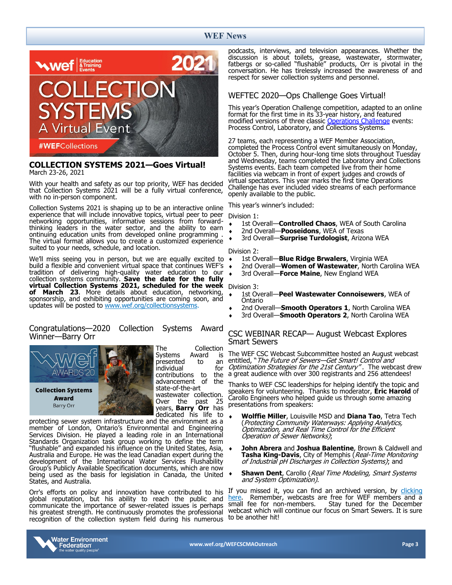### **WEF News**



### **COLLECTION SYSTEMS 2021—Goes Virtual!** March 23-26, 2021

With your health and safety as our top priority, WEF has decided that Collection Systems 2021 will be a fully virtual conference, with no in-person component.

Collection Systems 2021 is shaping up to be an interactive online experience that will include innovative topics, virtual peer to peer networking opportunities, informative sessions from forwardthinking leaders in the water sector, and the ability to earn ontinuing education units from developed online programming . The virtual format allows you to create a customized experience suited to your needs, schedule, and location.

We'll miss seeing you in person, but we are equally excited to build a flexible and convenient virtual space that continues WEF's tradition of delivering high-quality water education to our collection systems community. **Save the date for the fully virtual Collection Systems 2021, scheduled for the week of March 23**. More details about education, networking, sponsorship, and exhibiting opportunities are coming soon, and updates will be posted to [www.wef.org/collectionsystems.](https://www.wef.org/collectionsystems)

### Congratulations—2020 Collection Systems Award Winner—Barry Orr



The Collection<br>Systems Award is **Systems** presented to an<br>individual for individual for<br>contributions to the contributions to the advancement of state-of-the-art wastewater collection. Over the past 25 years, **Barry Orr** has dedicated his life to

protecting sewer system infrastructure and the environment as a member of London, Ontario's Environmental and Engineering Services Division. He played a leading role in an International Standards Organization task group working to define the term "flushable" and expanded his influence on the United States, Asia, Australia and Europe. He was the lead Canadian expert during the development of the International Water Services Flushability Group's Publicly Available Specification documents, which are now being used as the basis for legislation in Canada, the United States, and Australia.

Orr's efforts on policy and innovation have contributed to his global reputation, but his ability to reach the public and communicate the importance of sewer-related issues is perhaps his greatest strength. He continuously promotes the professional recognition of the collection system field during his numerous

podcasts, interviews, and television appearances. Whether the discussion is about toilets, grease, wastewater, stormwater, fatbergs or so-called "flushable" products, Orr is pivotal in the conversation. He has tirelessly increased the awareness of and respect for sewer collection systems and personnel.

### WEFTEC 2020—Ops Challenge Goes Virtual!

This year's Operation Challenge competition, adapted to an online format for the first time in its 33-year history, and featured modified versions of three classic [Operations Challenge](https://www.weftec.org/attend/operations-challenge/) events: Process Control, Laboratory, and Collections Systems.

27 teams, each representing a WEF Member Association, completed the Process Control event simultaneously on Monday, October 5. Then, during hour-long time slots throughout Tuesday and Wednesday, teams completed the Laboratory and Collections Systems events. Each team competed live from their home facilities via webcam in front of expert judges and crowds of virtual spectators. This year marks the first time Operations Challenge has ever included video streams of each performance openly available to the public.

This year's winner's included:

### Division 1:

- 1st Overall—**Controlled Chaos**, WEA of South Carolina
- 2nd Overall—**Pooseidons**, WEA of Texas
- 3rd Overall—**Surprise Turdologist**, Arizona WEA

### Division 2:

- 1st Overall—**Blue Ridge Brwalers**, Virginia WEA
- 2nd Overall—**Women of Wastewater**, North Carolina WEA
- 3rd Overall—**Force Maine**, New England WEA

#### Division 3:

- 1st Overall—**Peel Wastewater Connoisewers**, WEA of Ontario
- 2nd Overall—**Smooth Operators 1**, North Carolina WEA
- 3rd Overall—**Smooth Operators 2**, North Carolina WEA

### CSC WEBINAR RECAP— August Webcast Explores Smart Sewers

The WEF CSC Webcast Subcommittee hosted an August webcast entitled, "The Future of Sewers-Get Smart! Control and Optimization Strategies for the 21st Century" . The webcast drew a great audience with over 300 registrants and 256 attendees!

Thanks to WEF CSC leaderships for helping identify the topic and speakers for volunteering. Thanks to moderator, **Eric Harold** of Carollo Engineers who helped guide us through some amazing presentations from speakers:

- **Wolffie Miller**, Louisville MSD and **Diana Tao**, Tetra Tech (Protecting Community Waterways: Applying Analytics, Optimization, and Real Time Control for the Efficient Operation of Sewer Networks);
- **John Abrera** and **Joshua Balentine**, Brown & Caldwell and **Tasha King-Davis**, City of Memphis (Real-Time Monitoring of Industrial pH Discharges in Collection Systems); and
- **Shawn Dent**, Carollo (*Real Time Modeling, Smart Systems* and System Optimization).

If you missed it, you can find an archived version, by **clicking**<br>here. Remember, webcasts are free for WEF members and a [here.](https://www.e-wef.org/Default.aspx?TabID=251&productId=83815240&ct=a0cf725eddc30b4f087b8cd800be629715f5c1330770f31145e1a56654d210bddda607a854d71d346279b6a7d7879054cbfcc6489281ba6eb94a92b9575de6e1) Remember, webcasts are free for WEF members and a small fee for non-members. Stay tuned for the December Stay tuned for the December webcast which will continue our focus on Smart Sewers. It is sure to be another hit!